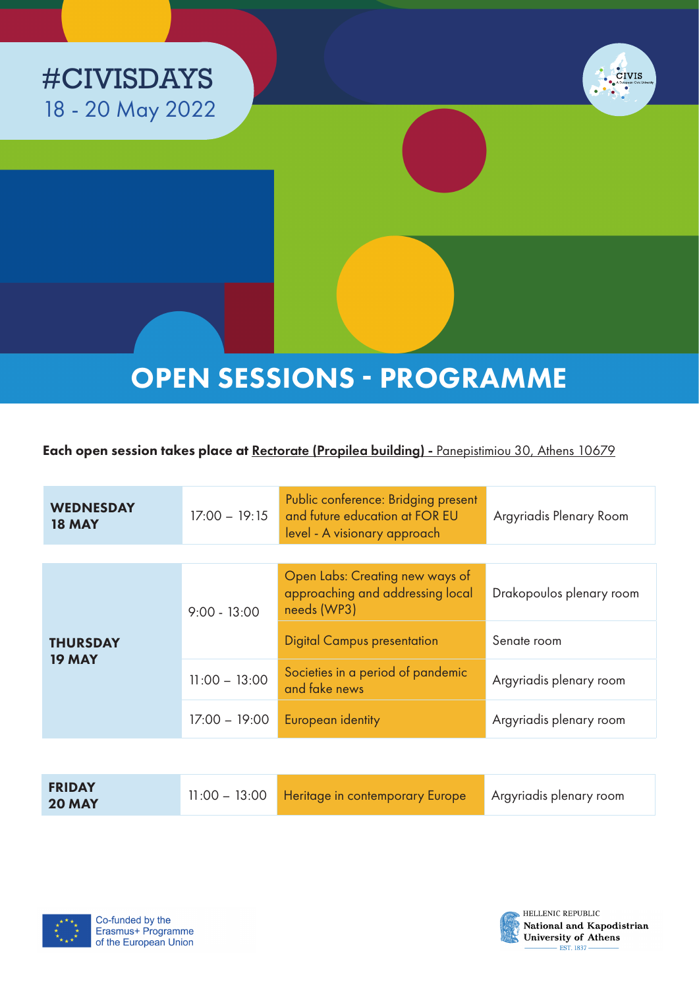



# OPEN SESSIONS - PROGRAMME

Each open session takes place at Rectorate (Propilea building) - Panepistimiou 30, Athens 10679

| <b>WEDNESDAY</b><br><b>18 MAY</b> | $17:00 - 19:15$ | Public conference: Bridging present<br>and future education at FOR EU<br>level - A visionary approach | Argyriadis Plenary Room  |
|-----------------------------------|-----------------|-------------------------------------------------------------------------------------------------------|--------------------------|
|                                   |                 |                                                                                                       |                          |
| <b>THURSDAY</b><br><b>19 MAY</b>  | $9:00 - 13:00$  | Open Labs: Creating new ways of<br>approaching and addressing local<br>needs (WP3)                    | Drakopoulos plenary room |
|                                   |                 | <b>Digital Campus presentation</b>                                                                    | Senate room              |
|                                   | $11:00 - 13:00$ | Societies in a period of pandemic<br>and fake news                                                    | Argyriadis plenary room  |
|                                   | $17:00 - 19:00$ | European identity                                                                                     | Argyriadis plenary room  |

| <b>FRIDAY</b><br><b>20 MAY</b> | 11:00 - 13:00 Heritage in contemporary Europe | Argyriadis plenary room |
|--------------------------------|-----------------------------------------------|-------------------------|
|--------------------------------|-----------------------------------------------|-------------------------|





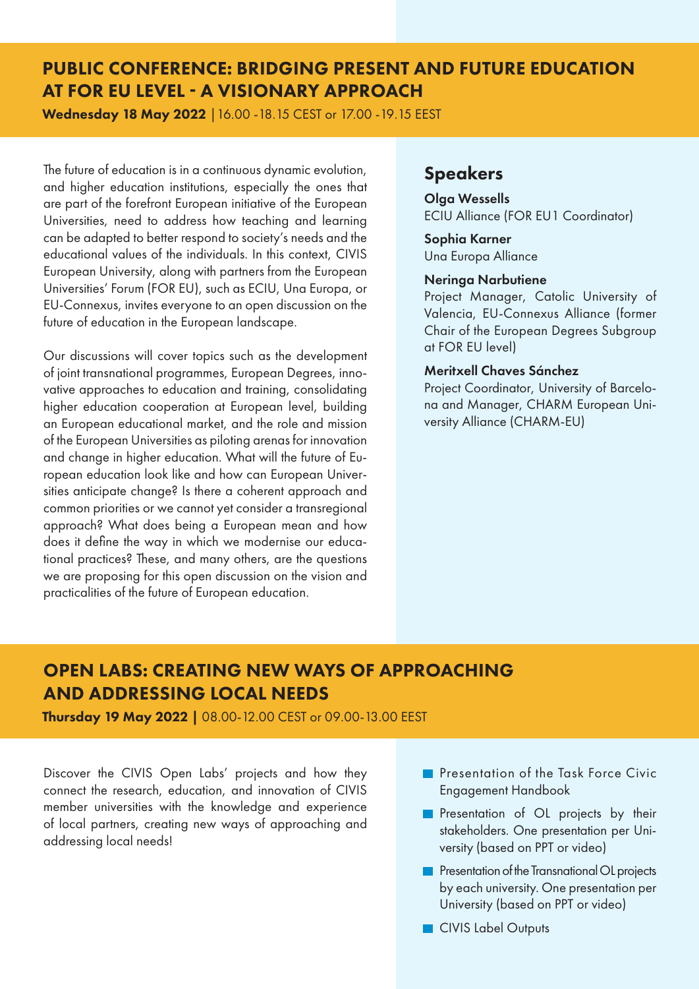# PUBLIC CONFERENCE: BRIDGING PRESENT AND FUTURE EDUCATION AT FOR EU LEVEL - A VISIONARY APPROACH

Wednesday 18 May 2022 |16.00 -18.15 CEST or 17.00 -19.15 EEST

The future of education is in a continuous dynamic evolution, and higher education institutions, especially the ones that are part of the forefront European initiative of the European Universities, need to address how teaching and learning can be adapted to better respond to society's needs and the educational values of the individuals. In this context, CIVIS European University, along with partners from the European Universities' Forum (FOR EU), such as ECIU, Una Europa, or EU-Connexus, invites everyone to an open discussion on the future of education in the European landscape.

Our discussions will cover topics such as the development of joint transnational programmes, European Degrees, innovative approaches to education and training, consolidating higher education cooperation at European level, building an European educational market, and the role and mission of the European Universities as piloting arenas for innovation and change in higher education. What will the future of European education look like and how can European Universities anticipate change? Is there a coherent approach and common priorities or we cannot yet consider a transregional approach? What does being a European mean and how does it define the way in which we modernise our educational practices? These, and many others, are the questions we are proposing for this open discussion on the vision and practicalities of the future of European education.

### Speakers

Olga Wessells ECIU Alliance (FOR EU1 Coordinator)

Sophia Karner Una Europa Alliance

#### Neringa Narbutiene

Project Manager, Catolic University of Valencia, EU-Connexus Alliance (former Chair of the European Degrees Subgroup at FOR EU level)

#### Meritxell Chaves Sánchez

Project Coordinator, University of Barcelona and Manager, CHARM European University Alliance (CHARM-EU)

# OPEN LABS: CREATING NEW WAYS OF APPROACHING AND ADDRESSING LOCAL NEEDS

Thursday 19 May 2022 | 08.00-12.00 CEST or 09.00-13.00 EEST

Discover the CIVIS Open Labs' projects and how they connect the research, education, and innovation of CIVIS member universities with the knowledge and experience of local partners, creating new ways of approaching and addressing local needs!

- **Presentation of the Task Force Civic** Engagement Handbook
- **Presentation of OL projects by their** stakeholders. One presentation per University (based on PPT or video)
- **Presentation of the Transnational OL projects** by each university. One presentation per University (based on PPT or video)
- **CIVIS Label Outputs**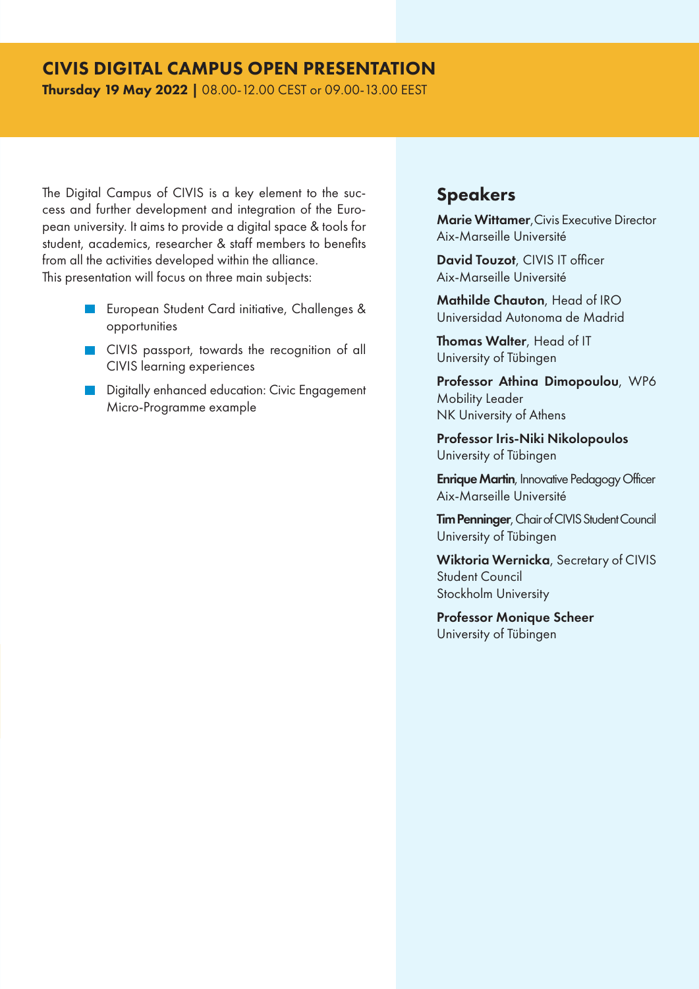### CIVIS DIGITAL CAMPUS OPEN PRESENTATION

Thursday 19 May 2022 | 08.00-12.00 CEST or 09.00-13.00 EEST

The Digital Campus of CIVIS is a key element to the success and further development and integration of the European university. It aims to provide a digital space & tools for student, academics, researcher & staff members to benefits from all the activities developed within the alliance. This presentation will focus on three main subjects:

- **EU** European Student Card initiative, Challenges & opportunities
- **CIVIS** passport, towards the recognition of all CIVIS learning experiences
- **Digitally enhanced education: Civic Engagement** Micro-Programme example

### Speakers

Marie Wittamer,Civis Executive Director Aix-Marseille Université

David Touzot, CIVIS IT officer Aix-Marseille Université

Mathilde Chauton, Head of IRO Universidad Autonoma de Madrid

Thomas Walter, Head of IT University of Tübingen

Professor Athina Dimopoulou, WP6 Mobility Leader NK University of Athens

Professor Iris-Niki Nikolopoulos University of Tübingen

**Enrique Martin**, Innovative Pedagogy Officer Aix-Marseille Université

Tim Penninger, Chair of CIVIS Student Council University of Tübingen

Wiktoria Wernicka, Secretary of CIVIS Student Council Stockholm University

Professor Monique Scheer University of Tübingen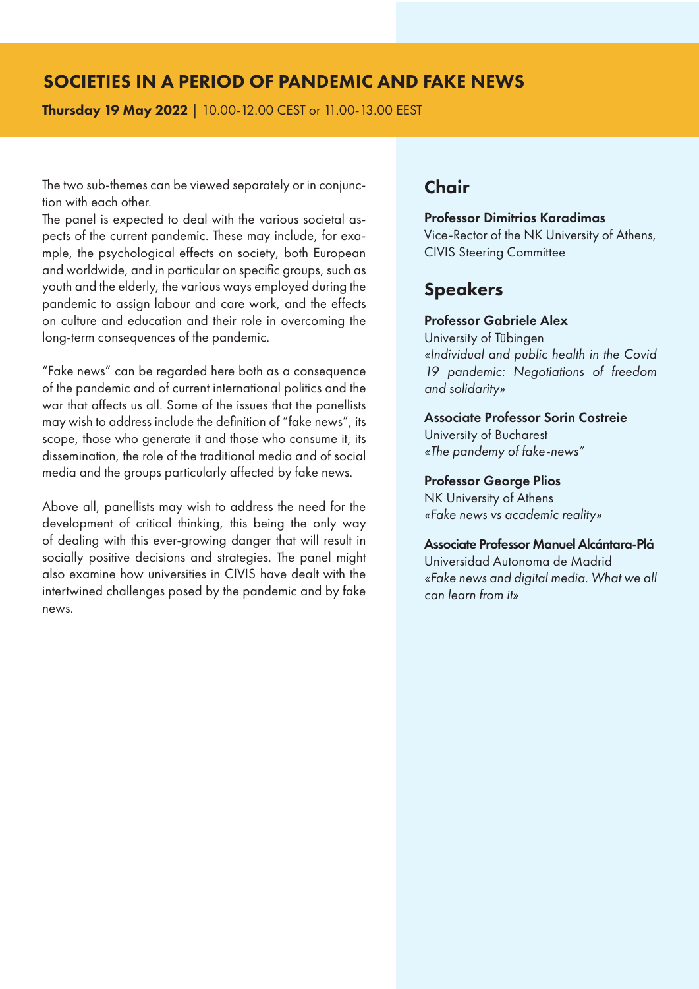### SOCIETIES IN A PERIOD OF PANDEMIC AND FAKE NEWS

Thursday 19 May 2022 | 10.00-12.00 CEST or 11.00-13.00 EEST

The two sub-themes can be viewed separately or in conjunction with each other.

The panel is expected to deal with the various societal aspects of the current pandemic. These may include, for example, the psychological effects on society, both European and worldwide, and in particular on specific groups, such as youth and the elderly, the various ways employed during the pandemic to assign labour and care work, and the effects on culture and education and their role in overcoming the long-term consequences of the pandemic.

"Fake news" can be regarded here both as a consequence of the pandemic and of current international politics and the war that affects us all. Some of the issues that the panellists may wish to address include the definition of "fake news", its scope, those who generate it and those who consume it, its dissemination, the role of the traditional media and of social media and the groups particularly affected by fake news.

Above all, panellists may wish to address the need for the development of critical thinking, this being the only way of dealing with this ever-growing danger that will result in socially positive decisions and strategies. The panel might also examine how universities in CIVIS have dealt with the intertwined challenges posed by the pandemic and by fake news.

### **Chair**

#### Professor Dimitrios Karadimas

Vice-Rector of the NK University of Athens, CIVIS Steering Committee

### Speakers

### Professor Gabriele Alex

University of Tübingen *«Individual and public health in the Covid 19 pandemic: Negotiations of freedom and solidarity»*

### Associate Professor Sorin Costreie

University of Bucharest *«The pandemy of fake-news"*

#### Professor George Plios

NK University of Athens *«Fake news vs academic reality»*

#### Associate Professor Manuel Alcántara-Plá

Universidad Autonoma de Madrid *«Fake news and digital media. What we all can learn from it»*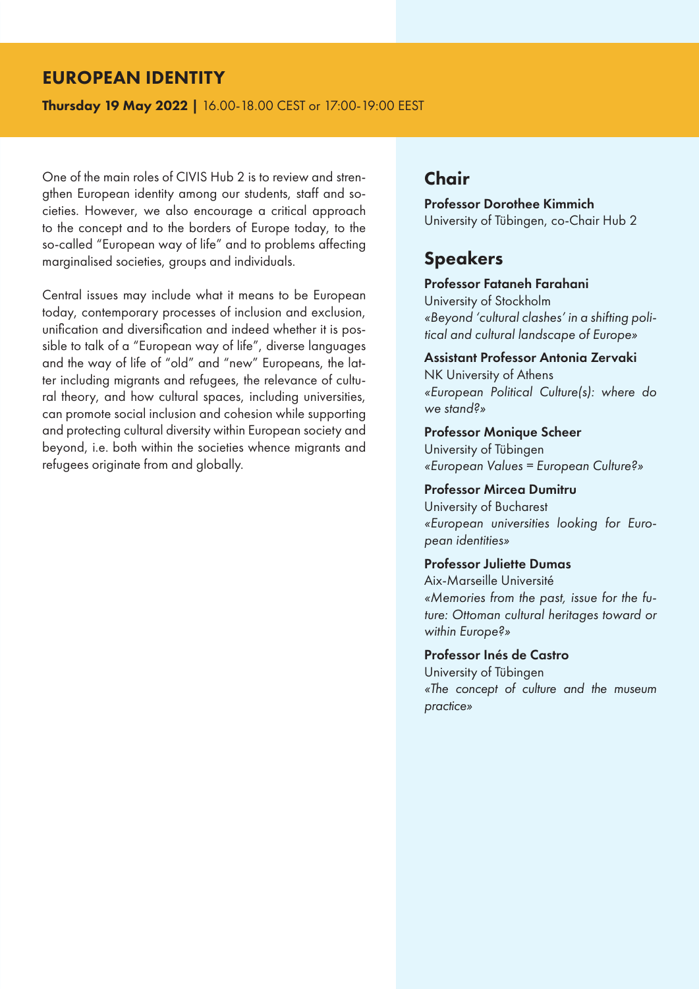### EUROPEAN IDENTITY

Thursday 19 May 2022 | 16.00-18.00 CEST or 17:00-19:00 EEST

One of the main roles of CIVIS Hub 2 is to review and strengthen European identity among our students, staff and societies. However, we also encourage a critical approach to the concept and to the borders of Europe today, to the so-called "European way of life" and to problems affecting marginalised societies, groups and individuals.

Central issues may include what it means to be European today, contemporary processes of inclusion and exclusion, unification and diversification and indeed whether it is possible to talk of a "European way of life", diverse languages and the way of life of "old" and "new" Europeans, the latter including migrants and refugees, the relevance of cultural theory, and how cultural spaces, including universities, can promote social inclusion and cohesion while supporting and protecting cultural diversity within European society and beyond, i.e. both within the societies whence migrants and refugees originate from and globally.

# Chair

Professor Dorothee Kimmich University of Tübingen, co-Chair Hub 2

### Speakers

#### Professor Fataneh Farahani

University of Stockholm *«Beyond 'cultural clashes' in a shifting political and cultural landscape of Europe»*

### Assistant Professor Antonia Zervaki

NK University of Athens *«European Political Culture(s): where do we stand?»*

Professor Monique Scheer University of Tübingen *«European Values = European Culture?»*

#### Professor Mircea Dumitru

University of Bucharest *«European universities looking for European identities»*

### Professor Juliette Dumas

Aix-Marseille Université *«Memories from the past, issue for the future: Ottoman cultural heritages toward or within Europe?»*

#### Professor Inés de Castro

University of Tübingen *«The concept of culture and the museum practice»*